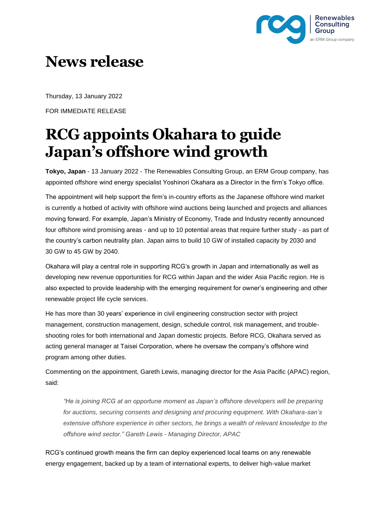

## **News release**

Thursday, 13 January 2022

FOR IMMEDIATE RELEASE

## **RCG appoints Okahara to guide Japan's offshore wind growth**

**Tokyo, Japan** - 13 January 2022 - The Renewables Consulting Group, an ERM Group company, has appointed offshore wind energy specialist Yoshinori Okahara as a Director in the firm's Tokyo office.

The appointment will help support the firm's in-country efforts as the Japanese offshore wind market is currently a hotbed of activity with offshore wind auctions being launched and projects and alliances moving forward. For example, Japan's Ministry of Economy, Trade and Industry recently announced four offshore wind promising areas - and up to 10 potential areas that require further study - as part of the country's carbon neutrality plan. Japan aims to build 10 GW of installed capacity by 2030 and 30 GW to 45 GW by 2040.

Okahara will play a central role in supporting RCG's growth in Japan and internationally as well as developing new revenue opportunities for RCG within Japan and the wider Asia Pacific region. He is also expected to provide leadership with the emerging requirement for owner's engineering and other renewable project life cycle services.

He has more than 30 years' experience in civil engineering construction sector with project management, construction management, design, schedule control, risk management, and troubleshooting roles for both international and Japan domestic projects. Before RCG, Okahara served as acting general manager at Taisei Corporation, where he oversaw the company's offshore wind program among other duties.

Commenting on the appointment, Gareth Lewis, managing director for the Asia Pacific (APAC) region, said:

*"He is joining RCG at an opportune moment as Japan's offshore developers will be preparing for auctions, securing consents and designing and procuring equipment. With Okahara-san's extensive offshore experience in other sectors, he brings a wealth of relevant knowledge to the offshore wind sector." Gareth Lewis - Managing Director, APAC*

RCG's continued growth means the firm can deploy experienced local teams on any renewable energy engagement, backed up by a team of international experts, to deliver high-value market